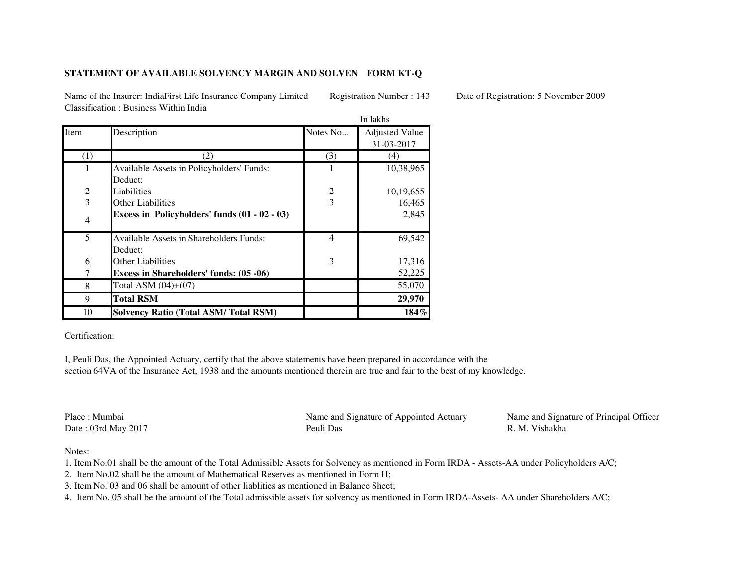## **STATEMENT OF AVAILABLE SOLVENCY MARGIN AND SOLVEN FORM KT-Q**

Name of the Insurer: IndiaFirst Life Insurance Company Limited Registration Number : 143 Date of Registration: 5 November 2009Classification : Business Within India

|                |                                                 |          | In lakhs              |  |
|----------------|-------------------------------------------------|----------|-----------------------|--|
| Item           | Description                                     | Notes No | <b>Adjusted Value</b> |  |
|                |                                                 |          | 31-03-2017            |  |
| (1)            | (2)                                             | (3)      | (4)                   |  |
|                | Available Assets in Policyholders' Funds:       |          | 10,38,965             |  |
|                | Deduct:                                         |          |                       |  |
| $\overline{2}$ | Liabilities                                     | 2        | 10,19,655             |  |
| 3              | <b>Other Liabilities</b>                        | 3        | 16,465                |  |
| 4              | Excess in Policyholders' funds $(01 - 02 - 03)$ |          | 2,845                 |  |
| 5              | <b>Available Assets in Shareholders Funds:</b>  | 4        | 69,542                |  |
|                | Deduct:                                         |          |                       |  |
| 6              | <b>Other Liabilities</b>                        | 3        | 17,316                |  |
|                | <b>Excess in Shareholders' funds: (05 -06)</b>  |          | 52,225                |  |
| 8              | Total ASM (04)+(07)                             |          | 55,070                |  |
| 9              | <b>Total RSM</b>                                |          | 29,970                |  |
| 10             | <b>Solvency Ratio (Total ASM/Total RSM)</b>     |          | $184\%$               |  |

Certification:

I, Peuli Das, the Appointed Actuary, certify that the above statements have been prepared in accordance with the section 64VA of the Insurance Act, 1938 and the amounts mentioned therein are true and fair to the best of my knowledge.

Place : MumbaiDate : 03rd May 2017

 Name and Signature of Appointed Actuary Name and Signature of Principal OfficerPeuli Das R. M. Vishakha

Notes:

1. Item No.01 shall be the amount of the Total Admissible Assets for Solvency as mentioned in Form IRDA - Assets-AA under Policyholders A/C;

2. Item No.02 shall be the amount of Mathematical Reserves as mentioned in Form H;

3. Item No. 03 and 06 shall be amount of other liablities as mentioned in Balance Sheet;

4. Item No. 05 shall be the amount of the Total admissible assets for solvency as mentioned in Form IRDA-Assets- AA under Shareholders A/C;